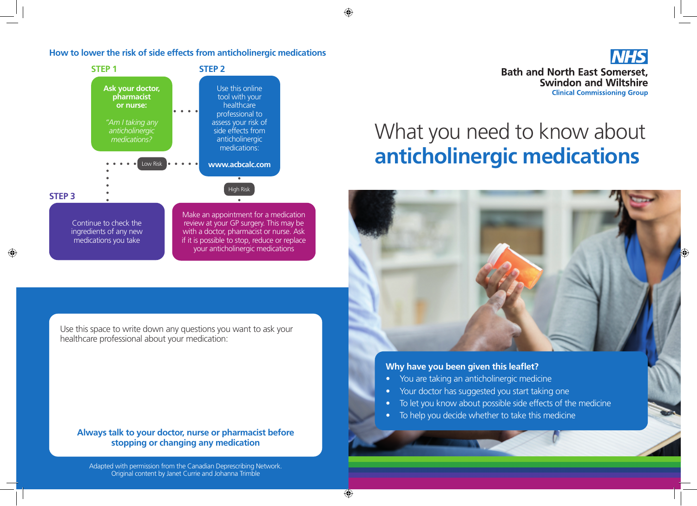$\bigcirc$ 

#### **How to lower the risk of side effects from anticholinergic medications**



with a doctor, pharmacist or nurse. Ask if it is possible to stop, reduce or replace your anticholinergic medications

Use this space to write down any questions you want to ask your healthcare professional about your medication:

medications you take

**Always talk to your doctor, nurse or pharmacist before stopping or changing any medication**

Adapted with permission from the Canadian Deprescribing Network. Original content by Janet Currie and Johanna Trimble



# What you need to know about **anticholinergic medications**



## **Why have you been given this leaflet?**

- You are taking an anticholinergic medicine
- Your doctor has suggested you start taking one
- To let you know about possible side effects of the medicine
- To help you decide whether to take this medicine